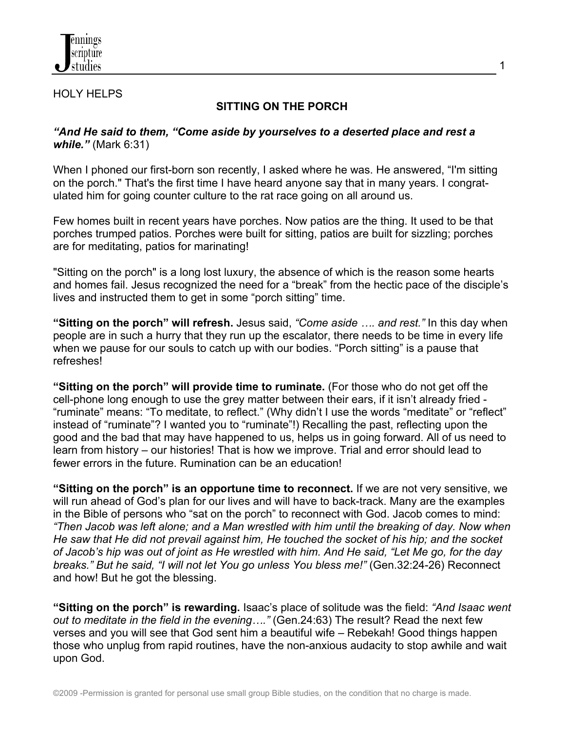

## HOLY HELPS

## **SITTING ON THE PORCH**

1

## *"And He said to them, "Come aside by yourselves to a deserted place and rest a while."* (Mark 6:31)

When I phoned our first-born son recently, I asked where he was. He answered, "I'm sitting on the porch." That's the first time I have heard anyone say that in many years. I congratulated him for going counter culture to the rat race going on all around us.

Few homes built in recent years have porches. Now patios are the thing. It used to be that porches trumped patios. Porches were built for sitting, patios are built for sizzling; porches are for meditating, patios for marinating!

"Sitting on the porch" is a long lost luxury, the absence of which is the reason some hearts and homes fail. Jesus recognized the need for a "break" from the hectic pace of the disciple's lives and instructed them to get in some "porch sitting" time.

**"Sitting on the porch" will refresh.** Jesus said, *"Come aside …. and rest."* In this day when people are in such a hurry that they run up the escalator, there needs to be time in every life when we pause for our souls to catch up with our bodies. "Porch sitting" is a pause that refreshes!

**"Sitting on the porch" will provide time to ruminate.** (For those who do not get off the cell-phone long enough to use the grey matter between their ears, if it isn't already fried - "ruminate" means: "To meditate, to reflect." (Why didn't I use the words "meditate" or "reflect" instead of "ruminate"? I wanted you to "ruminate"!) Recalling the past, reflecting upon the good and the bad that may have happened to us, helps us in going forward. All of us need to learn from history – our histories! That is how we improve. Trial and error should lead to fewer errors in the future. Rumination can be an education!

**"Sitting on the porch" is an opportune time to reconnect.** If we are not very sensitive, we will run ahead of God's plan for our lives and will have to back-track. Many are the examples in the Bible of persons who "sat on the porch" to reconnect with God. Jacob comes to mind: *"Then Jacob was left alone; and a Man wrestled with him until the breaking of day. Now when He saw that He did not prevail against him, He touched the socket of his hip; and the socket of Jacob's hip was out of joint as He wrestled with him. And He said, "Let Me go, for the day breaks." But he said, "I will not let You go unless You bless me!"* (Gen.32:24-26) Reconnect and how! But he got the blessing.

**"Sitting on the porch" is rewarding.** Isaac's place of solitude was the field: *"And Isaac went out to meditate in the field in the evening…."* (Gen.24:63) The result? Read the next few verses and you will see that God sent him a beautiful wife – Rebekah! Good things happen those who unplug from rapid routines, have the non-anxious audacity to stop awhile and wait upon God.